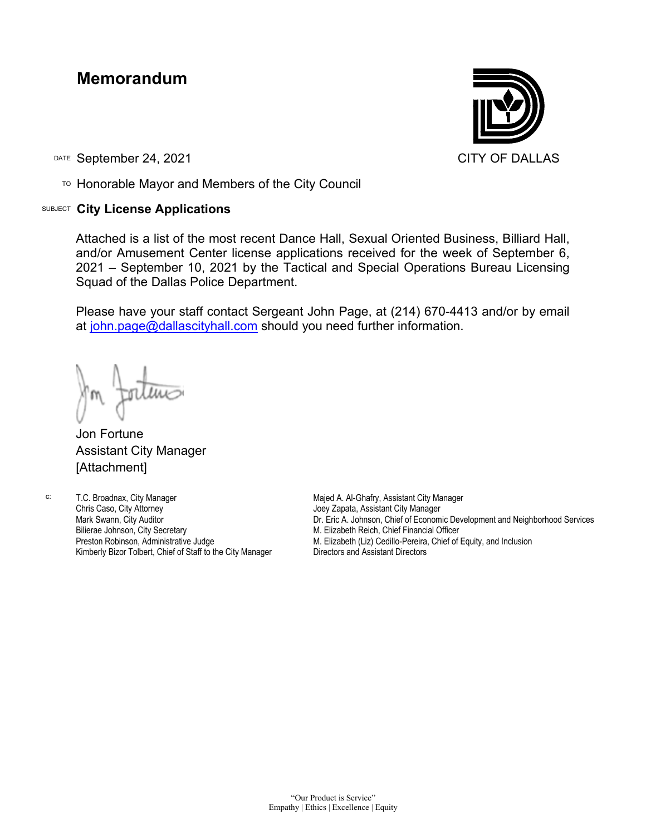## **Memorandum**

DATE September 24, 2021 CITY OF DALLAS

TO Honorable Mayor and Members of the City Council

## SUBJECT **City License Applications**



Attached is a list of the most recent Dance Hall, Sexual Oriented Business, Billiard Hall, and/or Amusement Center license applications received for the week of September 6, 2021 – September 10, 2021 by the Tactical and Special Operations Bureau Licensing Squad of the Dallas Police Department.

Please have your staff contact Sergeant John Page, at (214) 670-4413 and/or by email at [john.page@dallascityhall.com](mailto:john.page@dallascityhall.com) should you need further information.

Jon Fortune Assistant City Manager [Attachment]

c: T.C. Broadnax, City Manager Chris Caso, City Attorney Mark Swann, City Auditor Bilierae Johnson, City Secretary Preston Robinson, Administrative Judge Kimberly Bizor Tolbert, Chief of Staff to the City Manager Majed A. Al-Ghafry, Assistant City Manager Joey Zapata, Assistant City Manager Dr. Eric A. Johnson, Chief of Economic Development and Neighborhood Services M. Elizabeth Reich, Chief Financial Officer M. Elizabeth (Liz) Cedillo-Pereira, Chief of Equity, and Inclusion Directors and Assistant Directors